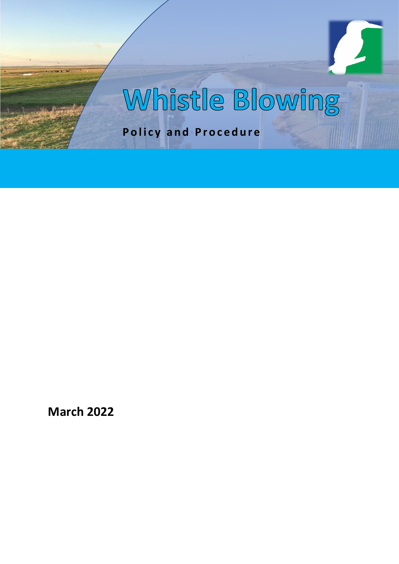# Whistle Blowing

**Policy and Procedure**

**March 2022**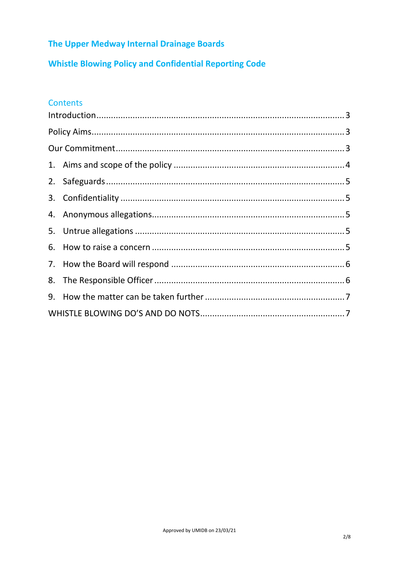## The Upper Medway Internal Drainage Boards

**Whistle Blowing Policy and Confidential Reporting Code** 

## **Contents**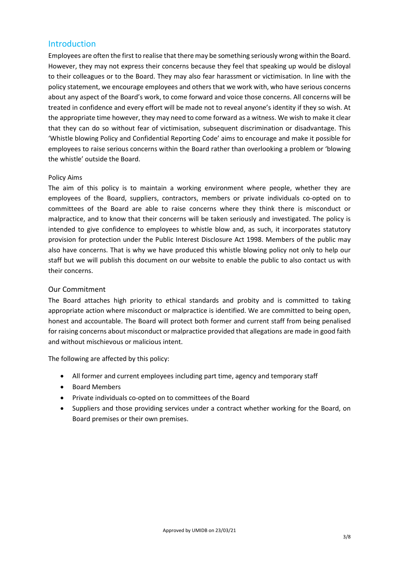### <span id="page-2-0"></span>Introduction

Employees are often the first to realise that there may be something seriously wrong within the Board. However, they may not express their concerns because they feel that speaking up would be disloyal to their colleagues or to the Board. They may also fear harassment or victimisation. In line with the policy statement, we encourage employees and others that we work with, who have serious concerns about any aspect of the Board's work, to come forward and voice those concerns. All concerns will be treated in confidence and every effort will be made not to reveal anyone's identity if they so wish. At the appropriate time however, they may need to come forward as a witness. We wish to make it clear that they can do so without fear of victimisation, subsequent discrimination or disadvantage. This 'Whistle blowing Policy and Confidential Reporting Code' aims to encourage and make it possible for employees to raise serious concerns within the Board rather than overlooking a problem or 'blowing the whistle' outside the Board.

#### <span id="page-2-1"></span>Policy Aims

The aim of this policy is to maintain a working environment where people, whether they are employees of the Board, suppliers, contractors, members or private individuals co-opted on to committees of the Board are able to raise concerns where they think there is misconduct or malpractice, and to know that their concerns will be taken seriously and investigated. The policy is intended to give confidence to employees to whistle blow and, as such, it incorporates statutory provision for protection under the Public Interest Disclosure Act 1998. Members of the public may also have concerns. That is why we have produced this whistle blowing policy not only to help our staff but we will publish this document on our website to enable the public to also contact us with their concerns.

#### <span id="page-2-2"></span>Our Commitment

The Board attaches high priority to ethical standards and probity and is committed to taking appropriate action where misconduct or malpractice is identified. We are committed to being open, honest and accountable. The Board will protect both former and current staff from being penalised for raising concerns about misconduct or malpractice provided that allegations are made in good faith and without mischievous or malicious intent.

The following are affected by this policy:

- All former and current employees including part time, agency and temporary staff
- Board Members
- Private individuals co-opted on to committees of the Board
- Suppliers and those providing services under a contract whether working for the Board, on Board premises or their own premises.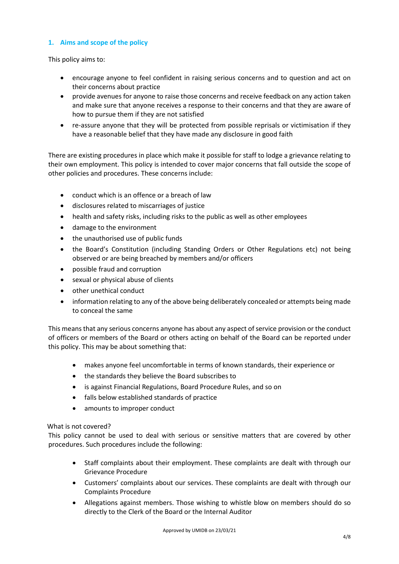#### <span id="page-3-0"></span>**1. Aims and scope of the policy**

This policy aims to:

- encourage anyone to feel confident in raising serious concerns and to question and act on their concerns about practice
- provide avenues for anyone to raise those concerns and receive feedback on any action taken and make sure that anyone receives a response to their concerns and that they are aware of how to pursue them if they are not satisfied
- re-assure anyone that they will be protected from possible reprisals or victimisation if they have a reasonable belief that they have made any disclosure in good faith

There are existing procedures in place which make it possible for staff to lodge a grievance relating to their own employment. This policy is intended to cover major concerns that fall outside the scope of other policies and procedures. These concerns include:

- conduct which is an offence or a breach of law
- disclosures related to miscarriages of justice
- health and safety risks, including risks to the public as well as other employees
- damage to the environment
- the unauthorised use of public funds
- the Board's Constitution (including Standing Orders or Other Regulations etc) not being observed or are being breached by members and/or officers
- possible fraud and corruption
- sexual or physical abuse of clients
- other unethical conduct
- information relating to any of the above being deliberately concealed or attempts being made to conceal the same

This means that any serious concerns anyone has about any aspect of service provision or the conduct of officers or members of the Board or others acting on behalf of the Board can be reported under this policy. This may be about something that:

- makes anyone feel uncomfortable in terms of known standards, their experience or
- the standards they believe the Board subscribes to
- is against Financial Regulations, Board Procedure Rules, and so on
- falls below established standards of practice
- amounts to improper conduct

#### What is not covered?

This policy cannot be used to deal with serious or sensitive matters that are covered by other procedures. Such procedures include the following:

- Staff complaints about their employment. These complaints are dealt with through our Grievance Procedure
- Customers' complaints about our services. These complaints are dealt with through our Complaints Procedure
- Allegations against members. Those wishing to whistle blow on members should do so directly to the Clerk of the Board or the Internal Auditor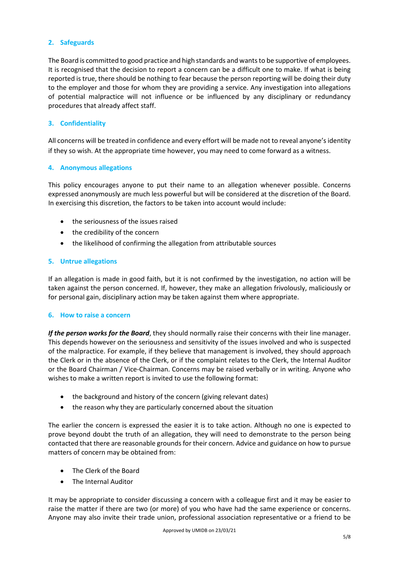#### <span id="page-4-0"></span>**2. Safeguards**

The Board is committed to good practice and high standards and wants to be supportive of employees. It is recognised that the decision to report a concern can be a difficult one to make. If what is being reported is true, there should be nothing to fear because the person reporting will be doing their duty to the employer and those for whom they are providing a service. Any investigation into allegations of potential malpractice will not influence or be influenced by any disciplinary or redundancy procedures that already affect staff.

#### <span id="page-4-1"></span>**3. Confidentiality**

All concerns will be treated in confidence and every effort will be made not to reveal anyone's identity if they so wish. At the appropriate time however, you may need to come forward as a witness.

#### <span id="page-4-2"></span>**4. Anonymous allegations**

This policy encourages anyone to put their name to an allegation whenever possible. Concerns expressed anonymously are much less powerful but will be considered at the discretion of the Board. In exercising this discretion, the factors to be taken into account would include:

- the seriousness of the issues raised
- the credibility of the concern
- the likelihood of confirming the allegation from attributable sources

#### <span id="page-4-3"></span>**5. Untrue allegations**

If an allegation is made in good faith, but it is not confirmed by the investigation, no action will be taken against the person concerned. If, however, they make an allegation frivolously, maliciously or for personal gain, disciplinary action may be taken against them where appropriate.

#### <span id="page-4-4"></span>**6. How to raise a concern**

*If the person works for the Board*, they should normally raise their concerns with their line manager. This depends however on the seriousness and sensitivity of the issues involved and who is suspected of the malpractice. For example, if they believe that management is involved, they should approach the Clerk or in the absence of the Clerk, or if the complaint relates to the Clerk, the Internal Auditor or the Board Chairman / Vice-Chairman. Concerns may be raised verbally or in writing. Anyone who wishes to make a written report is invited to use the following format:

- the background and history of the concern (giving relevant dates)
- the reason why they are particularly concerned about the situation

The earlier the concern is expressed the easier it is to take action. Although no one is expected to prove beyond doubt the truth of an allegation, they will need to demonstrate to the person being contacted that there are reasonable grounds for their concern. Advice and guidance on how to pursue matters of concern may be obtained from:

- The Clerk of the Board
- The Internal Auditor

It may be appropriate to consider discussing a concern with a colleague first and it may be easier to raise the matter if there are two (or more) of you who have had the same experience or concerns. Anyone may also invite their trade union, professional association representative or a friend to be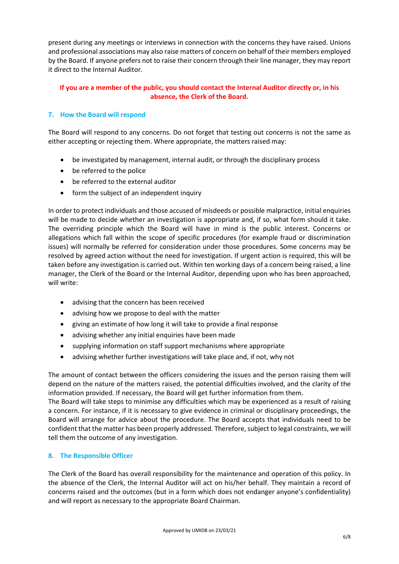present during any meetings or interviews in connection with the concerns they have raised. Unions and professional associations may also raise matters of concern on behalf of their members employed by the Board. If anyone prefers not to raise their concern through their line manager, they may report it direct to the Internal Auditor.

#### **If you are a member of the public, you should contact the Internal Auditor directly or, in his absence, the Clerk of the Board.**

#### <span id="page-5-0"></span>**7. How the Board will respond**

The Board will respond to any concerns. Do not forget that testing out concerns is not the same as either accepting or rejecting them. Where appropriate, the matters raised may:

- be investigated by management, internal audit, or through the disciplinary process
- be referred to the police
- be referred to the external auditor
- form the subject of an independent inquiry

In order to protect individuals and those accused of misdeeds or possible malpractice, initial enquiries will be made to decide whether an investigation is appropriate and, if so, what form should it take. The overriding principle which the Board will have in mind is the public interest. Concerns or allegations which fall within the scope of specific procedures (for example fraud or discrimination issues) will normally be referred for consideration under those procedures. Some concerns may be resolved by agreed action without the need for investigation. If urgent action is required, this will be taken before any investigation is carried out. Within ten working days of a concern being raised, a line manager, the Clerk of the Board or the Internal Auditor, depending upon who has been approached, will write:

- advising that the concern has been received
- advising how we propose to deal with the matter
- giving an estimate of how long it will take to provide a final response
- advising whether any initial enquiries have been made
- supplying information on staff support mechanisms where appropriate
- advising whether further investigations will take place and, if not, why not

The amount of contact between the officers considering the issues and the person raising them will depend on the nature of the matters raised, the potential difficulties involved, and the clarity of the information provided. If necessary, the Board will get further information from them.

The Board will take steps to minimise any difficulties which may be experienced as a result of raising a concern. For instance, if it is necessary to give evidence in criminal or disciplinary proceedings, the Board will arrange for advice about the procedure. The Board accepts that individuals need to be confident that the matter has been properly addressed. Therefore, subject to legal constraints, we will tell them the outcome of any investigation.

#### <span id="page-5-1"></span>**8. The Responsible Officer**

The Clerk of the Board has overall responsibility for the maintenance and operation of this policy. In the absence of the Clerk, the Internal Auditor will act on his/her behalf. They maintain a record of concerns raised and the outcomes (but in a form which does not endanger anyone's confidentiality) and will report as necessary to the appropriate Board Chairman.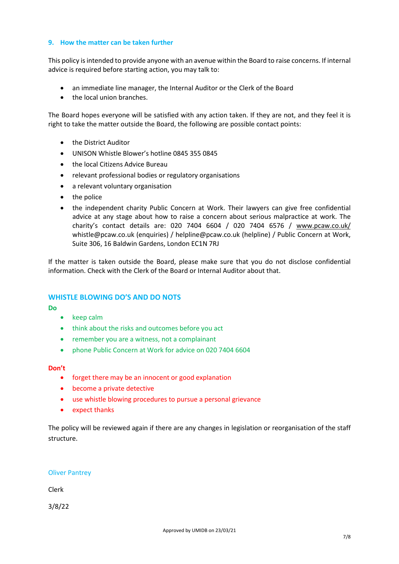#### <span id="page-6-0"></span>**9. How the matter can be taken further**

This policy is intended to provide anyone with an avenue within the Board to raise concerns. If internal advice is required before starting action, you may talk to:

- an immediate line manager, the Internal Auditor or the Clerk of the Board
- the local union branches.

The Board hopes everyone will be satisfied with any action taken. If they are not, and they feel it is right to take the matter outside the Board, the following are possible contact points:

- the District Auditor
- UNISON Whistle Blower's hotline 0845 355 0845
- the local Citizens Advice Bureau
- relevant professional bodies or regulatory organisations
- a relevant voluntary organisation
- the police
- the independent charity Public Concern at Work. Their lawyers can give free confidential advice at any stage about how to raise a concern about serious malpractice at work. The charity's contact details are: 020 7404 6604 / 020 7404 6576 / [www.pcaw.co.uk/](http://www.pcaw.co.uk/) whistle@pcaw.co.uk (enquiries) / helpline@pcaw.co.uk (helpline) / Public Concern at Work, Suite 306, 16 Baldwin Gardens, London EC1N 7RJ

If the matter is taken outside the Board, please make sure that you do not disclose confidential information. Check with the Clerk of the Board or Internal Auditor about that.

#### <span id="page-6-1"></span>**WHISTLE BLOWING DO'S AND DO NOTS**

**Do** 

- keep calm
- think about the risks and outcomes before you act
- remember you are a witness, not a complainant
- phone Public Concern at Work for advice on 020 7404 6604

#### **Don't**

- forget there may be an innocent or good explanation
- become a private detective
- use whistle blowing procedures to pursue a personal grievance
- expect thanks

The policy will be reviewed again if there are any changes in legislation or reorganisation of the staff structure.

#### Oliver Pantrey

Clerk

3/8/22